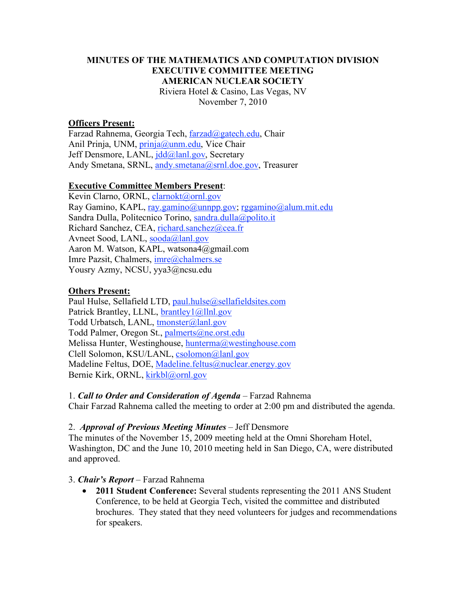## **MINUTES OF THE MATHEMATICS AND COMPUTATION DIVISION EXECUTIVE COMMITTEE MEETING AMERICAN NUCLEAR SOCIETY** Riviera Hotel & Casino, Las Vegas, NV November 7, 2010

#### **Officers Present:**

Farzad Rahnema, Georgia Tech, farzad@gatech.edu, Chair Anil Prinja, UNM, *prinja@unm.edu*, Vice Chair Jeff Densmore, LANL, jdd@lanl.gov, Secretary Andy Smetana, SRNL, andy smetana@srnl.doe.gov, Treasurer

#### **Executive Committee Members Present**:

Kevin Clarno, ORNL, clarnokt@ornl.gov Ray Gamino, KAPL, ray.gamino@unnpp.gov; rggamino@alum.mit.edu Sandra Dulla, Politecnico Torino, sandra.dulla@polito.it Richard Sanchez, CEA, richard.sanchez@cea.fr Avneet Sood, LANL, sooda@lanl.gov Aaron M. Watson, KAPL, watsona4@gmail.com Imre Pazsit, Chalmers, imre@chalmers.se Yousry Azmy, NCSU, yya3@ncsu.edu

#### **Others Present:**

Paul Hulse, Sellafield LTD, paul.hulse@sellafieldsites.com Patrick Brantley, LLNL, **brantley**1@llnl.gov Todd Urbatsch, LANL, tmonster@lanl.gov Todd Palmer, Oregon St., palmerts@ne.orst.edu Melissa Hunter, Westinghouse, hunterma@westinghouse.com Clell Solomon, KSU/LANL, csolomon@lanl.gov Madeline Feltus, DOE, Madeline.feltus@nuclear.energy.gov Bernie Kirk, ORNL, kirkbl@ornl.gov

1. *Call to Order and Consideration of Agenda* – Farzad Rahnema Chair Farzad Rahnema called the meeting to order at 2:00 pm and distributed the agenda.

#### 2. *Approval of Previous Meeting Minutes* – Jeff Densmore

The minutes of the November 15, 2009 meeting held at the Omni Shoreham Hotel, Washington, DC and the June 10, 2010 meeting held in San Diego, CA, were distributed and approved.

#### 3. *Chair's Report* – Farzad Rahnema

• **2011 Student Conference:** Several students representing the 2011 ANS Student Conference, to be held at Georgia Tech, visited the committee and distributed brochures. They stated that they need volunteers for judges and recommendations for speakers.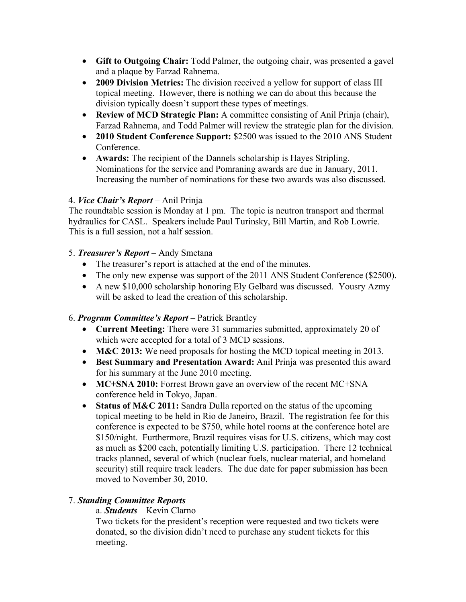- **Gift to Outgoing Chair:** Todd Palmer, the outgoing chair, was presented a gavel and a plaque by Farzad Rahnema.
- **2009 Division Metrics:** The division received a yellow for support of class III topical meeting. However, there is nothing we can do about this because the division typically doesn't support these types of meetings.
- **Review of MCD Strategic Plan:** A committee consisting of Anil Prinja (chair), Farzad Rahnema, and Todd Palmer will review the strategic plan for the division.
- **2010 Student Conference Support:** \$2500 was issued to the 2010 ANS Student **Conference**
- **Awards:** The recipient of the Dannels scholarship is Hayes Stripling. Nominations for the service and Pomraning awards are due in January, 2011. Increasing the number of nominations for these two awards was also discussed.

# 4. *Vice Chair's Report* – Anil Prinja

The roundtable session is Monday at 1 pm. The topic is neutron transport and thermal hydraulics for CASL. Speakers include Paul Turinsky, Bill Martin, and Rob Lowrie. This is a full session, not a half session.

# 5. *Treasurer's Report* – Andy Smetana

- The treasurer's report is attached at the end of the minutes.
- The only new expense was support of the 2011 ANS Student Conference (\$2500).
- A new \$10,000 scholarship honoring Ely Gelbard was discussed. Yousry Azmy will be asked to lead the creation of this scholarship.

# 6. *Program Committee's Report* – Patrick Brantley

- **Current Meeting:** There were 31 summaries submitted, approximately 20 of which were accepted for a total of 3 MCD sessions.
- **M&C 2013:** We need proposals for hosting the MCD topical meeting in 2013.
- **Best Summary and Presentation Award:** Anil Prinja was presented this award for his summary at the June 2010 meeting.
- **MC+SNA 2010:** Forrest Brown gave an overview of the recent MC+SNA conference held in Tokyo, Japan.
- **Status of M&C 2011:** Sandra Dulla reported on the status of the upcoming topical meeting to be held in Rio de Janeiro, Brazil. The registration fee for this conference is expected to be \$750, while hotel rooms at the conference hotel are \$150/night. Furthermore, Brazil requires visas for U.S. citizens, which may cost as much as \$200 each, potentially limiting U.S. participation. There 12 technical tracks planned, several of which (nuclear fuels, nuclear material, and homeland security) still require track leaders. The due date for paper submission has been moved to November 30, 2010.

# 7. *Standing Committee Reports*

## a. *Students* – Kevin Clarno

Two tickets for the president's reception were requested and two tickets were donated, so the division didn't need to purchase any student tickets for this meeting.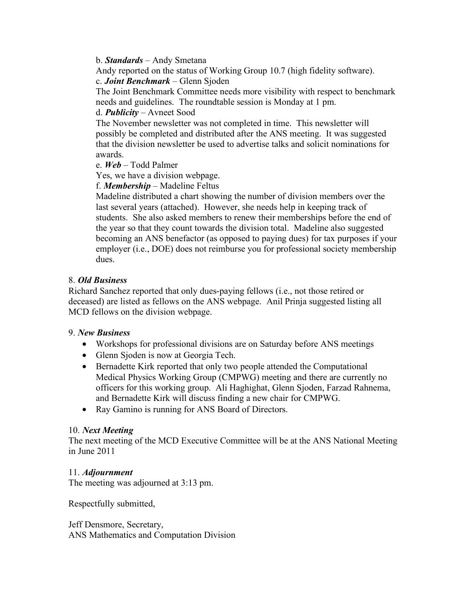b. *Standards* – Andy Smetana

Andy reported on the status of Working Group 10.7 (high fidelity software). c. *Joint Benchmark* – Glenn Sjoden

The Joint Benchmark Committee needs more visibility with respect to benchmark needs and guidelines. The roundtable session is Monday at 1 pm.

### d. *Publicity* – Avneet Sood

The November newsletter was not completed in time. This newsletter will possibly be completed and distributed after the ANS meeting. It was suggested that the division newsletter be used to advertise talks and solicit nominations for awards.

## e. *Web* – Todd Palmer

Yes, we have a division webpage.

#### f. *Membership* – Madeline Feltus

Madeline distributed a chart showing the number of division members over the last several years (attached). However, she needs help in keeping track of students. She also asked members to renew their memberships before the end of the year so that they count towards the division total. Madeline also suggested becoming an ANS benefactor (as opposed to paying dues) for tax purposes if your employer (i.e., DOE) does not reimburse you for professional society membership dues.

#### 8. *Old Business*

Richard Sanchez reported that only dues-paying fellows (i.e., not those retired or deceased) are listed as fellows on the ANS webpage. Anil Prinja suggested listing all MCD fellows on the division webpage.

#### 9. *New Business*

- Workshops for professional divisions are on Saturday before ANS meetings
- Glenn Sjoden is now at Georgia Tech.
- Bernadette Kirk reported that only two people attended the Computational Medical Physics Working Group (CMPWG) meeting and there are currently no officers for this working group. Ali Haghighat, Glenn Sjoden, Farzad Rahnema, and Bernadette Kirk will discuss finding a new chair for CMPWG.
- Ray Gamino is running for ANS Board of Directors.

#### 10. *Next Meeting*

The next meeting of the MCD Executive Committee will be at the ANS National Meeting in June 2011

## 11. *Adjournment*

The meeting was adjourned at 3:13 pm.

Respectfully submitted,

Jeff Densmore, Secretary, ANS Mathematics and Computation Division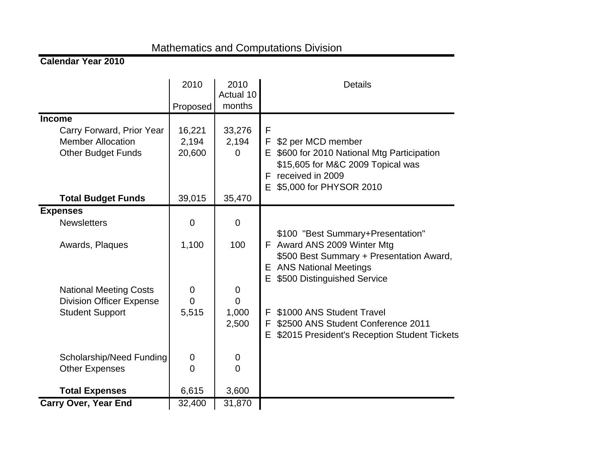# Mathematics and Computations Division

## **Calendar Year 2010**

|                                                                                                                                                        | 2010<br>Proposed                                            | 2010<br>Actual 10<br>months                              | <b>Details</b>                                                                                                                                                                                                                                                                                                    |
|--------------------------------------------------------------------------------------------------------------------------------------------------------|-------------------------------------------------------------|----------------------------------------------------------|-------------------------------------------------------------------------------------------------------------------------------------------------------------------------------------------------------------------------------------------------------------------------------------------------------------------|
| <b>Income</b><br>Carry Forward, Prior Year<br><b>Member Allocation</b><br><b>Other Budget Funds</b>                                                    | 16,221<br>2,194<br>20,600                                   | 33,276<br>2,194<br>$\Omega$                              | F<br>\$2 per MCD member<br>F.<br>E \$600 for 2010 National Mtg Participation<br>\$15,605 for M&C 2009 Topical was<br>received in 2009<br>F.<br>E \$5,000 for PHYSOR 2010                                                                                                                                          |
| <b>Total Budget Funds</b>                                                                                                                              | 39,015                                                      | 35,470                                                   |                                                                                                                                                                                                                                                                                                                   |
| <b>Expenses</b><br><b>Newsletters</b><br>Awards, Plaques<br><b>National Meeting Costs</b><br><b>Division Officer Expense</b><br><b>Student Support</b> | $\overline{0}$<br>1,100<br>$\mathbf 0$<br>$\Omega$<br>5,515 | $\overline{0}$<br>100<br>0<br>$\Omega$<br>1,000<br>2,500 | \$100 "Best Summary+Presentation"<br>F Award ANS 2009 Winter Mtg<br>\$500 Best Summary + Presentation Award,<br><b>E</b> ANS National Meetings<br>\$500 Distinguished Service<br>Е.<br>\$1000 ANS Student Travel<br>F.<br>\$2500 ANS Student Conference 2011<br>F<br>\$2015 President's Reception Student Tickets |
| Scholarship/Need Funding<br><b>Other Expenses</b>                                                                                                      | $\mathbf 0$<br>$\overline{0}$                               | 0<br>$\overline{0}$                                      |                                                                                                                                                                                                                                                                                                                   |
| <b>Total Expenses</b>                                                                                                                                  | 6,615                                                       | 3,600                                                    |                                                                                                                                                                                                                                                                                                                   |
| <b>Carry Over, Year End</b>                                                                                                                            | 32,400                                                      | 31,870                                                   |                                                                                                                                                                                                                                                                                                                   |